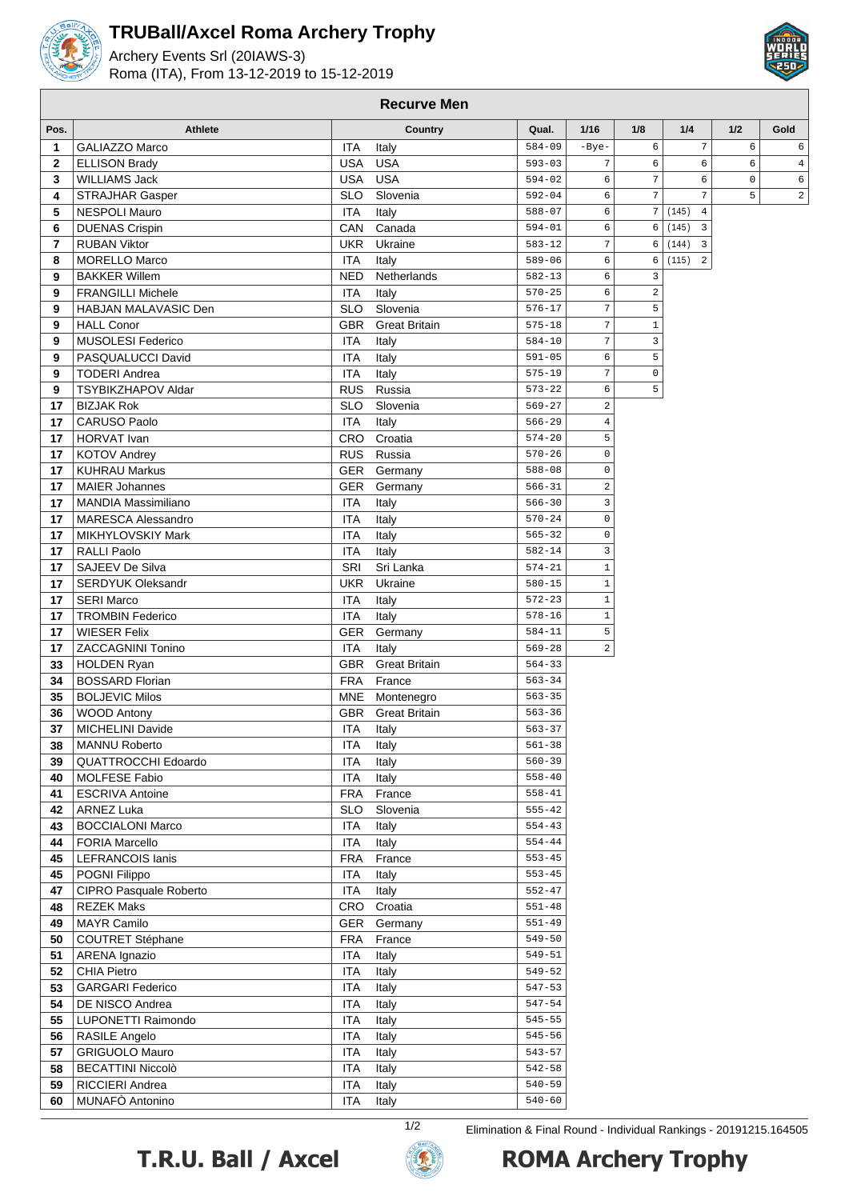

## **TRUBall/Axcel Roma Archery Trophy**

Archery Events Srl (20IAWS-3) Roma (ITA), From 13-12-2019 to 15-12-2019



| Pos.         | <b>Athlete</b>                                   |                          | Country              | Qual.                    | 1/16                    | 1/8                          | 1/4                     | 1/2         | Gold       |
|--------------|--------------------------------------------------|--------------------------|----------------------|--------------------------|-------------------------|------------------------------|-------------------------|-------------|------------|
| $\mathbf{1}$ | GALIAZZO Marco                                   | <b>ITA</b>               | Italy                | $584 - 09$               | $-Bye-$                 | 6                            | $\sqrt{ }$              | 6           | $\epsilon$ |
| $\mathbf{2}$ | <b>ELLISON Brady</b>                             | USA                      | <b>USA</b>           | $593 - 03$               | $\overline{7}$          | 6                            | $\epsilon$              | 6           | 4          |
| $\mathbf{3}$ | <b>WILLIAMS Jack</b>                             | USA                      | <b>USA</b>           | $594 - 02$               | 6                       | $\overline{7}$               | 6                       | $\mathsf 0$ | $\epsilon$ |
| 4            | <b>STRAJHAR Gasper</b>                           | <b>SLO</b>               | Slovenia             | $592 - 04$               | 6                       | $\sqrt{ }$                   | $\overline{7}$          | 5           | 2          |
| 5            | <b>NESPOLI Mauro</b>                             | <b>ITA</b>               | Italy                | $588 - 07$               | 6                       | $\boldsymbol{7}$             | $\overline{4}$<br>(145) |             |            |
| 6            | <b>DUENAS Crispin</b>                            | CAN                      | Canada               | $594 - 01$               | 6                       | 6                            | $\overline{3}$<br>(145) |             |            |
| 7            | <b>RUBAN Viktor</b>                              | <b>UKR</b>               | Ukraine              | $583 - 12$               | $\sqrt{ }$              | 6                            | (144)<br>$\overline{3}$ |             |            |
| 8            | <b>MORELLO Marco</b>                             | <b>ITA</b>               | Italy                | $589 - 06$               | 6                       | 6                            | (115) 2                 |             |            |
| 9            | <b>BAKKER Willem</b><br><b>FRANGILLI Michele</b> | <b>NED</b>               | Netherlands          | $582 - 13$<br>$570 - 25$ | 6<br>6                  | $\overline{3}$<br>$\sqrt{2}$ |                         |             |            |
| 9<br>9       | HABJAN MALAVASIC Den                             | <b>ITA</b><br><b>SLO</b> | Italy<br>Slovenia    | $576 - 17$               | $\sqrt{ }$              | $\mathsf S$                  |                         |             |            |
| 9            | <b>HALL Conor</b>                                | GBR                      | <b>Great Britain</b> | $575 - 18$               | $\sqrt{ }$              | $\mathbf 1$                  |                         |             |            |
| 9            | <b>MUSOLESI Federico</b>                         | <b>ITA</b>               | Italy                | $584 - 10$               | $\overline{7}$          | $\overline{3}$               |                         |             |            |
| 9            | PASQUALUCCI David                                | <b>ITA</b>               | Italy                | $591 - 05$               | 6                       | 5                            |                         |             |            |
| 9            | <b>TODERI Andrea</b>                             | <b>ITA</b>               | Italy                | $575 - 19$               | $\overline{7}$          | $\mathsf 0$                  |                         |             |            |
| 9            | <b>TSYBIKZHAPOV Aldar</b>                        | <b>RUS</b>               | Russia               | $573 - 22$               | 6                       | 5                            |                         |             |            |
| 17           | <b>BIZJAK Rok</b>                                | <b>SLO</b>               | Slovenia             | $569 - 27$               | $\overline{\mathbf{c}}$ |                              |                         |             |            |
| 17           | CARUSO Paolo                                     | <b>ITA</b>               | Italy                | $566 - 29$               | 4                       |                              |                         |             |            |
| 17           | HORVAT Ivan                                      | CRO                      | Croatia              | $574 - 20$               | 5                       |                              |                         |             |            |
| 17           | <b>KOTOV Andrey</b>                              | <b>RUS</b>               | Russia               | $570 - 26$               | $\mathsf 0$             |                              |                         |             |            |
| 17           | <b>KUHRAU Markus</b>                             | GER                      | Germany              | $588 - 08$               | $\mathsf 0$             |                              |                         |             |            |
| 17           | <b>MAIER Johannes</b>                            | <b>GER</b>               | Germany              | $566 - 31$               | $\overline{a}$          |                              |                         |             |            |
| 17           | <b>MANDIA Massimiliano</b>                       | ITA                      | Italy                | $566 - 30$               | 3                       |                              |                         |             |            |
| 17           | <b>MARESCA Alessandro</b>                        | <b>ITA</b>               | Italy                | $570 - 24$               | $\mathbf 0$             |                              |                         |             |            |
| 17           | <b>MIKHYLOVSKIY Mark</b>                         | <b>ITA</b>               | Italy                | $565 - 32$               | $\mathbf 0$             |                              |                         |             |            |
| 17           | <b>RALLI Paolo</b>                               | <b>ITA</b>               | Italy                | $582 - 14$               | 3                       |                              |                         |             |            |
| 17           | SAJEEV De Silva                                  | SRI                      | Sri Lanka            | $574 - 21$               | $\mathbf{1}$            |                              |                         |             |            |
| 17           | <b>SERDYUK Oleksandr</b>                         | UKR                      | Ukraine              | $580 - 15$               | $\mathbf{1}$            |                              |                         |             |            |
| 17           | <b>SERI Marco</b>                                | ITA                      | Italy                | $572 - 23$               | $1\,$                   |                              |                         |             |            |
| 17           | <b>TROMBIN Federico</b>                          | <b>ITA</b>               | Italy                | $578 - 16$<br>$584 - 11$ | $\mathbf{1}$<br>5       |                              |                         |             |            |
| 17<br>17     | <b>WIESER Felix</b><br><b>ZACCAGNINI Tonino</b>  | GER<br><b>ITA</b>        | Germany<br>Italy     | $569 - 28$               | $\overline{a}$          |                              |                         |             |            |
| 33           | <b>HOLDEN Ryan</b>                               | <b>GBR</b>               | <b>Great Britain</b> | $564 - 33$               |                         |                              |                         |             |            |
| 34           | <b>BOSSARD Florian</b>                           | <b>FRA</b>               | France               | $563 - 34$               |                         |                              |                         |             |            |
| 35           | <b>BOLJEVIC Milos</b>                            | MNE                      | Montenegro           | $563 - 35$               |                         |                              |                         |             |            |
| 36           | <b>WOOD Antony</b>                               | <b>GBR</b>               | <b>Great Britain</b> | $563 - 36$               |                         |                              |                         |             |            |
| 37           | MICHELINI Davide                                 | <b>ITA</b>               | Italy                | $563 - 37$               |                         |                              |                         |             |            |
| 38           | <b>MANNU Roberto</b>                             | <b>ITA</b>               | Italy                | $561 - 38$               |                         |                              |                         |             |            |
| 39           | <b>QUATTROCCHI Edoardo</b>                       | <b>ITA</b>               | Italy                | $560 - 39$               |                         |                              |                         |             |            |
| 40           | <b>MOLFESE Fabio</b>                             | <b>ITA</b>               | Italy                | $558 - 40$               |                         |                              |                         |             |            |
| 41           | <b>ESCRIVA Antoine</b>                           | <b>FRA</b>               | France               | $558 - 41$               |                         |                              |                         |             |            |
| 42           | <b>ARNEZ Luka</b>                                | <b>SLO</b>               | Slovenia             | $555 - 42$               |                         |                              |                         |             |            |
| 43           | <b>BOCCIALONI Marco</b>                          | <b>ITA</b>               | Italy                | $554 - 43$               |                         |                              |                         |             |            |
| 44           | <b>FORIA Marcello</b>                            | <b>ITA</b>               | Italy                | $554 - 44$               |                         |                              |                         |             |            |
| 45           | <b>LEFRANCOIS lanis</b>                          | <b>FRA</b>               | France               | $553 - 45$               |                         |                              |                         |             |            |
| 45           | POGNI Filippo                                    | <b>ITA</b>               | Italy                | $553 - 45$               |                         |                              |                         |             |            |
| 47           | CIPRO Pasquale Roberto                           | <b>ITA</b>               | Italy                | $552 - 47$               |                         |                              |                         |             |            |
| 48           | <b>REZEK Maks</b>                                | CRO                      | Croatia              | $551 - 48$<br>$551 - 49$ |                         |                              |                         |             |            |
| 49<br>50     | <b>MAYR Camilo</b><br><b>COUTRET Stéphane</b>    | GER<br><b>FRA</b>        | Germany<br>France    | $549 - 50$               |                         |                              |                         |             |            |
| 51           | ARENA Ignazio                                    | <b>ITA</b>               | Italy                | $549 - 51$               |                         |                              |                         |             |            |
| 52           | <b>CHIA Pietro</b>                               | <b>ITA</b>               | Italy                | $549 - 52$               |                         |                              |                         |             |            |
| 53           | <b>GARGARI Federico</b>                          | <b>ITA</b>               | Italy                | $547 - 53$               |                         |                              |                         |             |            |
| 54           | DE NISCO Andrea                                  | <b>ITA</b>               | Italy                | $547 - 54$               |                         |                              |                         |             |            |
| 55           | LUPONETTI Raimondo                               | <b>ITA</b>               | Italy                | $545 - 55$               |                         |                              |                         |             |            |
| 56           | RASILE Angelo                                    | <b>ITA</b>               | Italy                | $545 - 56$               |                         |                              |                         |             |            |
| 57           | <b>GRIGUOLO Mauro</b>                            | <b>ITA</b>               | Italy                | $543 - 57$               |                         |                              |                         |             |            |
| 58           | <b>BECATTINI Niccolò</b>                         | <b>ITA</b>               | Italy                | $542 - 58$               |                         |                              |                         |             |            |
| 59           | RICCIERI Andrea                                  | <b>ITA</b>               | Italy                | $540 - 59$               |                         |                              |                         |             |            |
| 60           | MUNAFÒ Antonino                                  | <b>ITA</b>               | Italy                | $540 - 60$               |                         |                              |                         |             |            |

**Recurve Men**





1/2 Elimination & Final Round - Individual Rankings - 20191215.164505